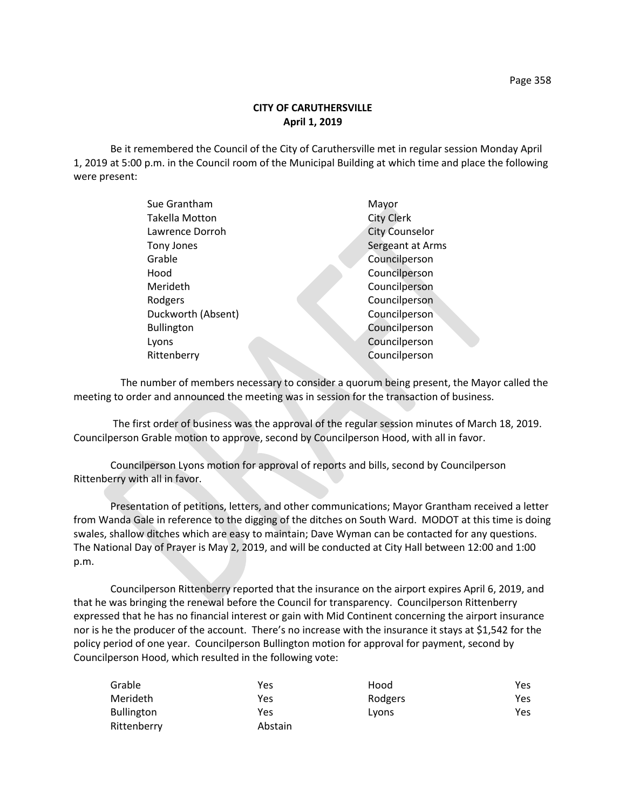## **CITY OF CARUTHERSVILLE April 1, 2019**

Be it remembered the Council of the City of Caruthersville met in regular session Monday April 1, 2019 at 5:00 p.m. in the Council room of the Municipal Building at which time and place the following were present:

| Sue Grantham          | Mayor                 |
|-----------------------|-----------------------|
| <b>Takella Motton</b> | <b>City Clerk</b>     |
| Lawrence Dorroh       | <b>City Counselor</b> |
| Tony Jones            | Sergeant at Arms      |
| Grable                | Councilperson         |
| Hood                  | Councilperson         |
| Merideth              | Councilperson         |
| Rodgers               | Councilperson         |
| Duckworth (Absent)    | Councilperson         |
| <b>Bullington</b>     | Councilperson         |
| Lyons                 | Councilperson         |
| Rittenberry           | Councilperson         |
|                       |                       |

 The number of members necessary to consider a quorum being present, the Mayor called the meeting to order and announced the meeting was in session for the transaction of business.

The first order of business was the approval of the regular session minutes of March 18, 2019. Councilperson Grable motion to approve, second by Councilperson Hood, with all in favor.

Councilperson Lyons motion for approval of reports and bills, second by Councilperson Rittenberry with all in favor.

Presentation of petitions, letters, and other communications; Mayor Grantham received a letter from Wanda Gale in reference to the digging of the ditches on South Ward. MODOT at this time is doing swales, shallow ditches which are easy to maintain; Dave Wyman can be contacted for any questions. The National Day of Prayer is May 2, 2019, and will be conducted at City Hall between 12:00 and 1:00 p.m.

Councilperson Rittenberry reported that the insurance on the airport expires April 6, 2019, and that he was bringing the renewal before the Council for transparency. Councilperson Rittenberry expressed that he has no financial interest or gain with Mid Continent concerning the airport insurance nor is he the producer of the account. There's no increase with the insurance it stays at \$1,542 for the policy period of one year. Councilperson Bullington motion for approval for payment, second by Councilperson Hood, which resulted in the following vote:

| Grable            | Yes     | Hood    | Yes |
|-------------------|---------|---------|-----|
| Merideth          | Yes     | Rodgers | Yes |
| <b>Bullington</b> | Yes     | Lyons   | Yes |
| Rittenberry       | Abstain |         |     |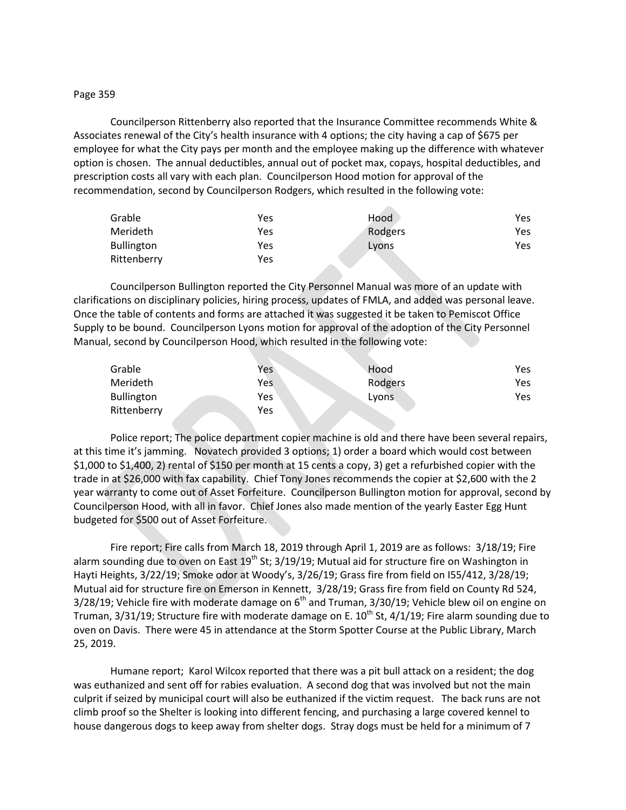## Page 359

Councilperson Rittenberry also reported that the Insurance Committee recommends White & Associates renewal of the City's health insurance with 4 options; the city having a cap of \$675 per employee for what the City pays per month and the employee making up the difference with whatever option is chosen. The annual deductibles, annual out of pocket max, copays, hospital deductibles, and prescription costs all vary with each plan. Councilperson Hood motion for approval of the recommendation, second by Councilperson Rodgers, which resulted in the following vote:

| Grable            | Yes | Hood    | Yes |
|-------------------|-----|---------|-----|
| Merideth          | Yes | Rodgers | Yes |
| <b>Bullington</b> | Yes | Lyons   | Yes |
| Rittenberry       | Yes |         |     |

Councilperson Bullington reported the City Personnel Manual was more of an update with clarifications on disciplinary policies, hiring process, updates of FMLA, and added was personal leave. Once the table of contents and forms are attached it was suggested it be taken to Pemiscot Office Supply to be bound. Councilperson Lyons motion for approval of the adoption of the City Personnel Manual, second by Councilperson Hood, which resulted in the following vote:

| Grable            | Yes | Hood    | Yes  |
|-------------------|-----|---------|------|
| Merideth          | Yes | Rodgers | Yes. |
| <b>Bullington</b> | Yes | Lyons   | Yes  |
| Rittenberry       | Yes |         |      |

Police report; The police department copier machine is old and there have been several repairs, at this time it's jamming. Novatech provided 3 options; 1) order a board which would cost between \$1,000 to \$1,400, 2) rental of \$150 per month at 15 cents a copy, 3) get a refurbished copier with the trade in at \$26,000 with fax capability. Chief Tony Jones recommends the copier at \$2,600 with the 2 year warranty to come out of Asset Forfeiture. Councilperson Bullington motion for approval, second by Councilperson Hood, with all in favor. Chief Jones also made mention of the yearly Easter Egg Hunt budgeted for \$500 out of Asset Forfeiture.

Fire report; Fire calls from March 18, 2019 through April 1, 2019 are as follows: 3/18/19; Fire alarm sounding due to oven on East  $19^{th}$  St; 3/19/19; Mutual aid for structure fire on Washington in Hayti Heights, 3/22/19; Smoke odor at Woody's, 3/26/19; Grass fire from field on I55/412, 3/28/19; Mutual aid for structure fire on Emerson in Kennett, 3/28/19; Grass fire from field on County Rd 524,  $3/28/19$ ; Vehicle fire with moderate damage on  $6<sup>th</sup>$  and Truman,  $3/30/19$ ; Vehicle blew oil on engine on Truman, 3/31/19; Structure fire with moderate damage on E.  $10^{th}$  St, 4/1/19; Fire alarm sounding due to oven on Davis. There were 45 in attendance at the Storm Spotter Course at the Public Library, March 25, 2019.

Humane report; Karol Wilcox reported that there was a pit bull attack on a resident; the dog was euthanized and sent off for rabies evaluation. A second dog that was involved but not the main culprit if seized by municipal court will also be euthanized if the victim request. The back runs are not climb proof so the Shelter is looking into different fencing, and purchasing a large covered kennel to house dangerous dogs to keep away from shelter dogs. Stray dogs must be held for a minimum of 7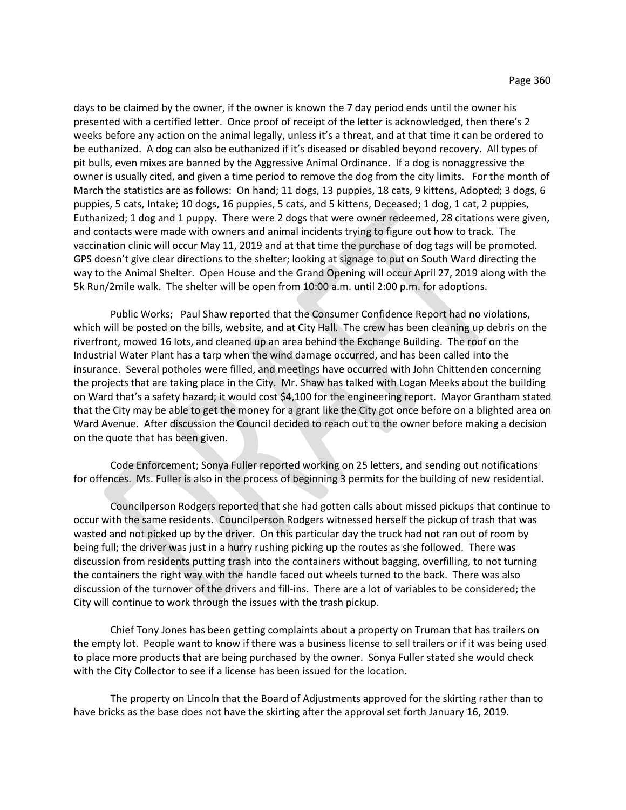days to be claimed by the owner, if the owner is known the 7 day period ends until the owner his presented with a certified letter. Once proof of receipt of the letter is acknowledged, then there's 2 weeks before any action on the animal legally, unless it's a threat, and at that time it can be ordered to be euthanized. A dog can also be euthanized if it's diseased or disabled beyond recovery. All types of pit bulls, even mixes are banned by the Aggressive Animal Ordinance. If a dog is nonaggressive the owner is usually cited, and given a time period to remove the dog from the city limits. For the month of March the statistics are as follows: On hand; 11 dogs, 13 puppies, 18 cats, 9 kittens, Adopted; 3 dogs, 6 puppies, 5 cats, Intake; 10 dogs, 16 puppies, 5 cats, and 5 kittens, Deceased; 1 dog, 1 cat, 2 puppies, Euthanized; 1 dog and 1 puppy. There were 2 dogs that were owner redeemed, 28 citations were given, and contacts were made with owners and animal incidents trying to figure out how to track. The vaccination clinic will occur May 11, 2019 and at that time the purchase of dog tags will be promoted. GPS doesn't give clear directions to the shelter; looking at signage to put on South Ward directing the way to the Animal Shelter. Open House and the Grand Opening will occur April 27, 2019 along with the 5k Run/2mile walk. The shelter will be open from 10:00 a.m. until 2:00 p.m. for adoptions.

Public Works; Paul Shaw reported that the Consumer Confidence Report had no violations, which will be posted on the bills, website, and at City Hall. The crew has been cleaning up debris on the riverfront, mowed 16 lots, and cleaned up an area behind the Exchange Building. The roof on the Industrial Water Plant has a tarp when the wind damage occurred, and has been called into the insurance. Several potholes were filled, and meetings have occurred with John Chittenden concerning the projects that are taking place in the City. Mr. Shaw has talked with Logan Meeks about the building on Ward that's a safety hazard; it would cost \$4,100 for the engineering report. Mayor Grantham stated that the City may be able to get the money for a grant like the City got once before on a blighted area on Ward Avenue. After discussion the Council decided to reach out to the owner before making a decision on the quote that has been given.

Code Enforcement; Sonya Fuller reported working on 25 letters, and sending out notifications for offences. Ms. Fuller is also in the process of beginning 3 permits for the building of new residential.

Councilperson Rodgers reported that she had gotten calls about missed pickups that continue to occur with the same residents. Councilperson Rodgers witnessed herself the pickup of trash that was wasted and not picked up by the driver. On this particular day the truck had not ran out of room by being full; the driver was just in a hurry rushing picking up the routes as she followed. There was discussion from residents putting trash into the containers without bagging, overfilling, to not turning the containers the right way with the handle faced out wheels turned to the back. There was also discussion of the turnover of the drivers and fill-ins. There are a lot of variables to be considered; the City will continue to work through the issues with the trash pickup.

Chief Tony Jones has been getting complaints about a property on Truman that has trailers on the empty lot. People want to know if there was a business license to sell trailers or if it was being used to place more products that are being purchased by the owner. Sonya Fuller stated she would check with the City Collector to see if a license has been issued for the location.

The property on Lincoln that the Board of Adjustments approved for the skirting rather than to have bricks as the base does not have the skirting after the approval set forth January 16, 2019.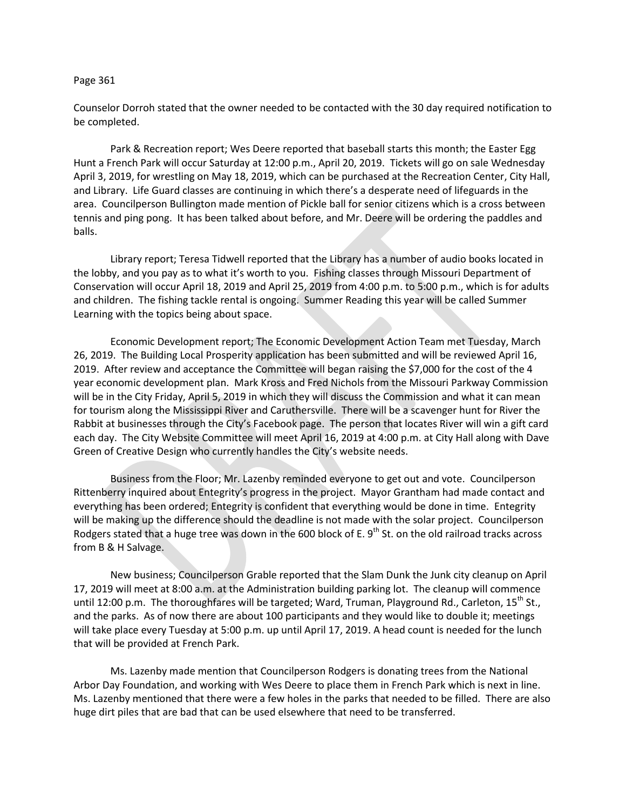## Page 361

Counselor Dorroh stated that the owner needed to be contacted with the 30 day required notification to be completed.

Park & Recreation report; Wes Deere reported that baseball starts this month; the Easter Egg Hunt a French Park will occur Saturday at 12:00 p.m., April 20, 2019. Tickets will go on sale Wednesday April 3, 2019, for wrestling on May 18, 2019, which can be purchased at the Recreation Center, City Hall, and Library. Life Guard classes are continuing in which there's a desperate need of lifeguards in the area. Councilperson Bullington made mention of Pickle ball for senior citizens which is a cross between tennis and ping pong. It has been talked about before, and Mr. Deere will be ordering the paddles and balls.

Library report; Teresa Tidwell reported that the Library has a number of audio books located in the lobby, and you pay as to what it's worth to you. Fishing classes through Missouri Department of Conservation will occur April 18, 2019 and April 25, 2019 from 4:00 p.m. to 5:00 p.m., which is for adults and children. The fishing tackle rental is ongoing. Summer Reading this year will be called Summer Learning with the topics being about space.

Economic Development report; The Economic Development Action Team met Tuesday, March 26, 2019. The Building Local Prosperity application has been submitted and will be reviewed April 16, 2019. After review and acceptance the Committee will began raising the \$7,000 for the cost of the 4 year economic development plan. Mark Kross and Fred Nichols from the Missouri Parkway Commission will be in the City Friday, April 5, 2019 in which they will discuss the Commission and what it can mean for tourism along the Mississippi River and Caruthersville. There will be a scavenger hunt for River the Rabbit at businesses through the City's Facebook page. The person that locates River will win a gift card each day. The City Website Committee will meet April 16, 2019 at 4:00 p.m. at City Hall along with Dave Green of Creative Design who currently handles the City's website needs.

Business from the Floor; Mr. Lazenby reminded everyone to get out and vote. Councilperson Rittenberry inquired about Entegrity's progress in the project. Mayor Grantham had made contact and everything has been ordered; Entegrity is confident that everything would be done in time. Entegrity will be making up the difference should the deadline is not made with the solar project. Councilperson Rodgers stated that a huge tree was down in the 600 block of E.  $9<sup>th</sup>$  St. on the old railroad tracks across from B & H Salvage.

New business; Councilperson Grable reported that the Slam Dunk the Junk city cleanup on April 17, 2019 will meet at 8:00 a.m. at the Administration building parking lot. The cleanup will commence until 12:00 p.m. The thoroughfares will be targeted; Ward, Truman, Playground Rd., Carleton,  $15^{th}$  St., and the parks. As of now there are about 100 participants and they would like to double it; meetings will take place every Tuesday at 5:00 p.m. up until April 17, 2019. A head count is needed for the lunch that will be provided at French Park.

Ms. Lazenby made mention that Councilperson Rodgers is donating trees from the National Arbor Day Foundation, and working with Wes Deere to place them in French Park which is next in line. Ms. Lazenby mentioned that there were a few holes in the parks that needed to be filled. There are also huge dirt piles that are bad that can be used elsewhere that need to be transferred.